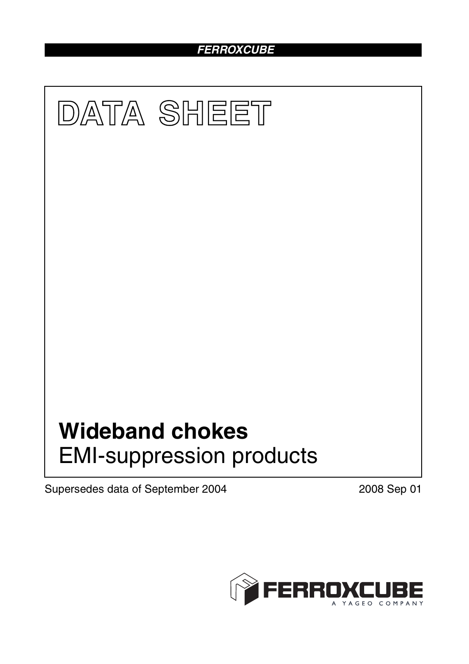# *FERROXCUBE*



Supersedes data of September 2004 2008 Sep 01

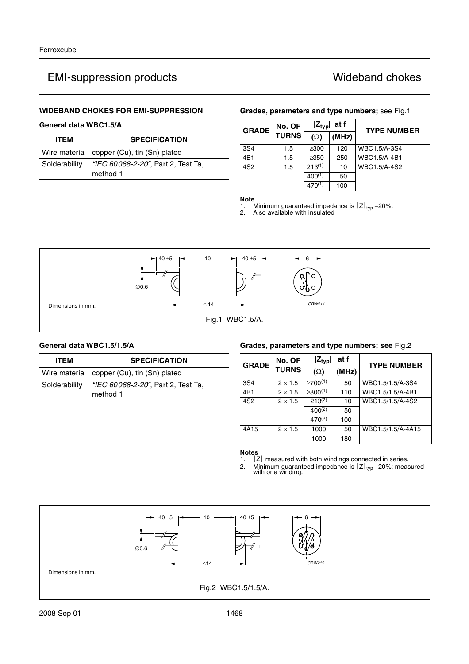### **WIDEBAND CHOKES FOR EMI-SUPPRESSION**

## **General data WBC1.5/A**

| <b>ITEM</b>   | <b>SPECIFICATION</b>                           |  |  |  |
|---------------|------------------------------------------------|--|--|--|
|               | Wire material   copper (Cu), tin (Sn) plated   |  |  |  |
| Solderability | "IEC 60068-2-20", Part 2, Test Ta,<br>method 1 |  |  |  |

### **Grades, parameters and type numbers;** see Fig.1

| <b>GRADE</b>    | No. OF       | $ Z_{\text{typ}} $<br>at f |       | <b>TYPE NUMBER</b> |
|-----------------|--------------|----------------------------|-------|--------------------|
|                 | <b>TURNS</b> | $(\Omega)$                 | (MHz) |                    |
| 3S4             | 1.5          | $\geq$ 300                 | 120   | WBC1.5/A-3S4       |
| 4B1             | 1.5          | $\geq$ 350                 | 250   | WBC1.5/A-4B1       |
| 4S <sub>2</sub> | 1.5          | $213^{(1)}$                | 10    | WBC1.5/A-4S2       |
|                 |              | $400^{(1)}$                | 50    |                    |
|                 |              | $470^{(1)}$                | 100   |                    |

**Note**<br>1. **A**<br>2. *A* 1. Minimum guaranteed impedance is  $|Z|_{\text{typ}}$  –20%.<br>2. Also available with insulated



## **General data WBC1.5/1.5/A**

| <b>ITEM</b>   | <b>SPECIFICATION</b>                           |  |  |  |
|---------------|------------------------------------------------|--|--|--|
|               | Wire material   copper (Cu), tin (Sn) plated   |  |  |  |
| Solderability | "IEC 60068-2-20", Part 2, Test Ta,<br>method 1 |  |  |  |

### **Grades, parameters and type numbers; see** Fig.2

| <b>GRADE</b>    | No. OF         | at f<br>$ Z_{typ} $ |       | <b>TYPE NUMBER</b> |
|-----------------|----------------|---------------------|-------|--------------------|
|                 | <b>TURNS</b>   | $(\Omega)$          | (MHz) |                    |
| 3S4             | $2 \times 1.5$ | $>700^{(1)}$        | 50    | WBC1.5/1.5/A-3S4   |
| 4B1             | $2 \times 1.5$ | $\geq 800^{(1)}$    | 110   | WBC1.5/1.5/A-4B1   |
| 4S <sub>2</sub> | $2 \times 1.5$ | $213^{(2)}$         | 10    | WBC1.5/1.5/A-4S2   |
|                 |                | $400^{(2)}$         | 50    |                    |
|                 |                | $470^{(2)}$         | 100   |                    |
| 4A15            | $2 \times 1.5$ | 1000                | 50    | WBC1.5/1.5/A-4A15  |
|                 |                | 1000                | 180   |                    |

**Notes**

1.  $|Z|$  measured with both windings connected in series.

2. Minimum guaranteed impedance is  $|Z|_{\text{typ}}$  –20%; measured with one winding.

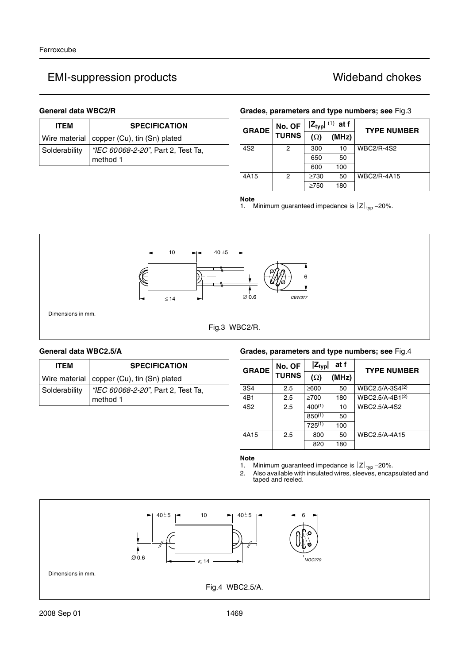| <b>ITEM</b>   | <b>SPECIFICATION</b>                           |  |  |  |
|---------------|------------------------------------------------|--|--|--|
|               | Wire material   copper (Cu), tin (Sn) plated   |  |  |  |
| Solderability | "IEC 60068-2-20", Part 2, Test Ta,<br>method 1 |  |  |  |

## **General data WBC2/R Grades, parameters and type numbers; see** Fig.3

| <b>GRADE</b>    | No. OF | $ Z_{typ} $ (1) at f |       | <b>TYPE NUMBER</b> |
|-----------------|--------|----------------------|-------|--------------------|
| <b>TURNS</b>    |        | $(\Omega)$           | (MHz) |                    |
| 4S <sub>2</sub> | 2      | 300                  | 10    | <b>WBC2/R-4S2</b>  |
|                 |        | 650                  | 50    |                    |
|                 |        | 600                  | 100   |                    |
| 4A15            | 2      | $\geq 730$           | 50    | <b>WBC2/R-4A15</b> |
|                 |        | $\geq$ 750           | 180   |                    |

### **Note**

1. Minimum guaranteed impedance is  $|Z|_{\text{typ}}$  –20%.



| <b>ITEM</b>   | <b>SPECIFICATION</b>                           |  |  |  |
|---------------|------------------------------------------------|--|--|--|
|               | Wire material   copper (Cu), tin (Sn) plated   |  |  |  |
| Solderability | "IEC 60068-2-20", Part 2, Test Ta,<br>method 1 |  |  |  |

### **General data WBC2.5/A Grades, parameters and type numbers; see** Fig.4

| No. OF<br><b>GRADE</b> |              | at f<br>$ Z_{typ} $ |       | <b>TYPE NUMBER</b>          |
|------------------------|--------------|---------------------|-------|-----------------------------|
|                        | <b>TURNS</b> | $(\Omega)$          | (MHz) |                             |
| 3S4                    | 2.5          | $≥600$              | 50    | WBC2.5/A-3S4(2)             |
| 4B1                    | 2.5          | $\geq 700$          | 180   | WBC2.5/A-4B1 <sup>(2)</sup> |
| 4S <sub>2</sub>        | 2.5          | $400^{(1)}$         | 10    | WBC2.5/A-4S2                |
|                        |              | $850^{(1)}$         | 50    |                             |
|                        |              | $725^{(1)}$         | 100   |                             |
| 4A15                   | 2.5          | 800                 | 50    | WBC2.5/A-4A15               |
|                        |              | 820                 | 180   |                             |

# **Note**<br>1. **N**

1. Minimum guaranteed impedance is  $|Z|_{\text{typ}}$  –20%.

2. Also available with insulated wires, sleeves, encapsulated and taped and reeled.

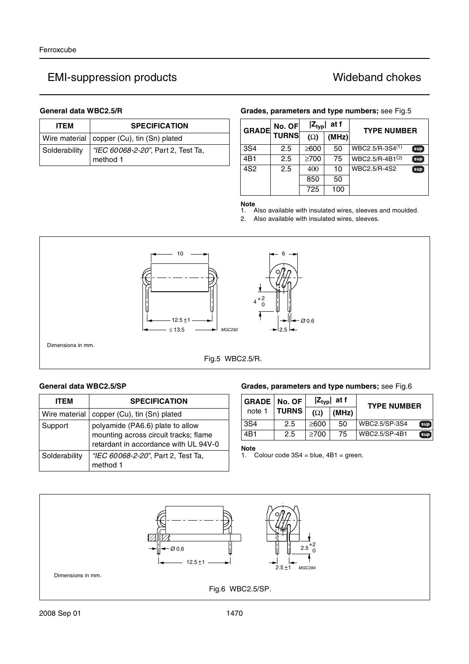| <b>ITEM</b>   | <b>SPECIFICATION</b>                           |  |  |  |
|---------------|------------------------------------------------|--|--|--|
|               | Wire material   copper (Cu), tin (Sn) plated   |  |  |  |
| Solderability | "IEC 60068-2-20", Part 2, Test Ta,<br>method 1 |  |  |  |

## General data WBC2.5/R **Grades, parameters and type numbers**; see Fig.5

| <b>GRADE</b>    | No. OF       | $ Z_{\text{typ}} $<br>at f |       | <b>TYPE NUMBER</b> |     |
|-----------------|--------------|----------------------------|-------|--------------------|-----|
|                 | <b>TURNS</b> | $(\Omega)$                 | (MHz) |                    |     |
| 3S4             | 2.5          | $\geq 600$                 | 50    | $WBC2.5/R-3S4(1)$  | sup |
| 4B1             | 2.5          | $\geq 700$                 | 75    | $WBC2.5/R-4B1(2)$  | sup |
| 4S <sub>2</sub> | 2.5          | 400                        | 10    | WBC2.5/R-4S2       | sup |
|                 |              | 850                        | 50    |                    |     |
|                 |              | 725                        | 100   |                    |     |

**Note**

1. Also available with insulated wires, sleeves and moulded.

2. Also available with insulated wires, sleeves.



Fig.5 WBC2.5/R.

| <b>ITEM</b>   | <b>SPECIFICATION</b>                                                                                               |
|---------------|--------------------------------------------------------------------------------------------------------------------|
| Wire material | copper (Cu), tin (Sn) plated                                                                                       |
| Support       | polyamide (PA6.6) plate to allow<br>mounting across circuit tracks; flame<br>retardant in accordance with UL 94V-0 |
| Solderability | "IEC 60068-2-20", Part 2, Test Ta,<br>method 1                                                                     |

## General data WBC2.5/SP **Grades, parameters and type numbers;** see Fig.6

| <b>GRADE   No. OF</b> |              | $ Z_{typ} $ at f |       | <b>TYPE NUMBER</b>   |
|-----------------------|--------------|------------------|-------|----------------------|
| note 1                | <b>TURNS</b> | $(\Omega)$       | (MHz) |                      |
| 3S4                   | 2.5          | $\geq 600$       | 50    | WBC2.5/SP-3S4<br>sup |
| 4B1                   | 2.5          | $\geq 700$       | 75    | WBC2.5/SP-4B1<br>sup |

**Note**

1. Colour code 3S4 = blue, 4B1 = green.

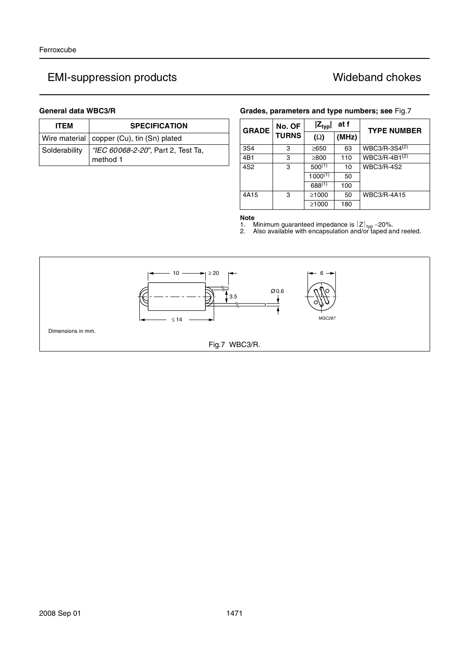# EMI-suppression products **EMI-suppression products** and the Mideband chokes

| <b>ITEM</b>   | <b>SPECIFICATION</b>                           |  |  |
|---------------|------------------------------------------------|--|--|
|               | Wire material   copper (Cu), tin (Sn) plated   |  |  |
| Solderability | "IEC 60068-2-20", Part 2, Test Ta,<br>method 1 |  |  |

## **General data WBC3/R Grades, parameters and type numbers; see** Fig.7

| <b>GRADE</b>    | No. OF<br><b>TURNS</b> | at f<br>$ Z_{typ} $ |       | <b>TYPE NUMBER</b>        |
|-----------------|------------------------|---------------------|-------|---------------------------|
|                 |                        | $(\Omega)$          | (MHz) |                           |
| 3S4             | 3                      | ≥650                | 63    | WBC3/R-3S4 <sup>(2)</sup> |
| 4B1             | 3                      | $\geq 800$          | 110   | WBC3/R-4B1 <sup>(2)</sup> |
| 4S <sub>2</sub> | 3                      | $500^{(1)}$         | 10    | <b>WBC3/R-4S2</b>         |
|                 |                        | $1000^{(1)}$        | 50    |                           |
|                 |                        | $688^{(1)}$         | 100   |                           |
| 4A15            | 3                      | $\geq 1000$         | 50    | <b>WBC3/R-4A15</b>        |
|                 |                        | $\geq 1000$         | 180   |                           |

**Note**

1. Minimum guaranteed impedance is  $|Z|_{\text{typ}}$  –20%.<br>2. Also available with encapsulation and/or taped and reeled.